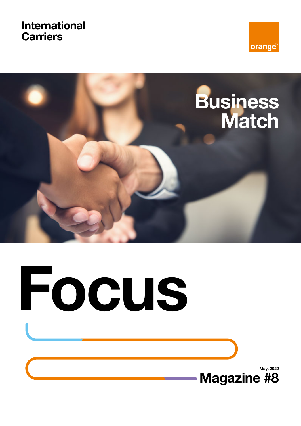### **International Carriers**





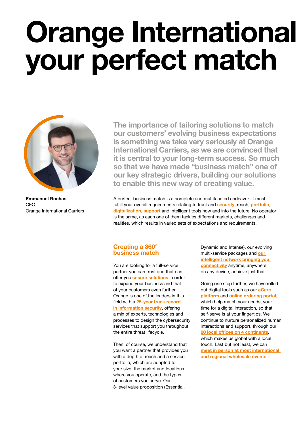## **Orange International your perfect match**



**Emmanuel Rochas** CEO Orange International Carriers

**The importance of tailoring solutions to match our customers' evolving business expectations is something we take very seriously at Orange International Carriers, as we are convinced that it is central to your long-term success. So much so that we have made "business match" one of our key strategic drivers, building our solutions to enable this new way of creating value.**

A perfect business match is a complete and multifaceted endeavor. It must fulfill your overall requirements relating to trust and **security**, reach, **portfolio**, **digitalization**, **support** and intelligent tools now and into the future. No operator is the same, as each one of them tackles different markets, challenges and realities, which results in varied sets of expectations and requirements.

#### **Creating a 360° business match**

You are looking for a full-service partner you can trust and that can offer you **secure solutions** in order to expand your business and that of your customers even further. Orange is one of the leaders in this field with a **25-year track record in information security**, offering a mix of experts, technologies and processes to design the cybersecurity services that support you throughout the entire threat lifecycle.

Then, of course, we understand that you want a partner that provides you with a depth of reach and a service portfolio, which are adapted to your size, the market and locations where you operate, and the types of customers you serve. Our 3-level value proposition (Essential,

Dynamic and Intense), our evolving multi-service packages and **our intelligent network bringing you connectivity** anytime, anywhere, on any device, achieve just that.

Going one step further, we have rolled out digital tools such as our **eCare platform** and **online ordering portal**, which help match your needs, your time for a digital interaction, so that self-serve is at your fingertips. We continue to nurture personalized human interactions and support, through our **20 local offices on 4 continents**, which makes us global with a local touch. Last but not least, we can **meet in person at most international and regional wholesale events**.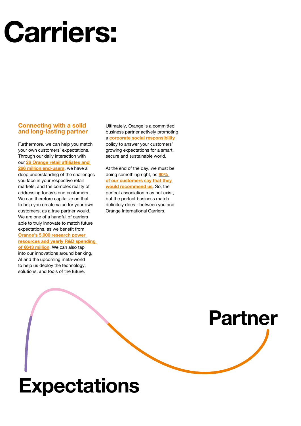# **Carriers:**

#### **Connecting with a solid and long-lasting partner**

Furthermore, we can help you match your own customers' expectations. Through our daily interaction with our **26 Orange retail affiliates and 266 million end-users**, we have a deep understanding of the challenges you face in your respective retail markets, and the complex reality of addressing today's end customers. We can therefore capitalize on that to help you create value for your own customers, as a true partner would. We are one of a handful of carriers able to truly innovate to match future expectations, as we benefit from **Orange's 5,000 research power resources and yearly R&D spending of €643 million**. We can also tap into our innovations around banking, AI and the upcoming meta-world to help us deploy the technology, solutions, and tools of the future.

**Expectations**

Ultimately, Orange is a committed business partner actively promoting a **corporate social responsibility** policy to answer your customers' growing expectations for a smart, secure and sustainable world.

At the end of the day, we must be doing something right, as **90% of our customers say that they would recommend us**. So, the perfect association may not exist, but the perfect business match definitely does - between you and Orange International Carriers.

**Partner**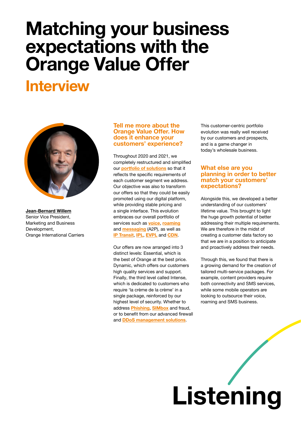### **Matching your business expectations with the Orange Value Offer**

### **Interview**



**Jean-Bernard Willem**  Senior Vice President, Marketing and Business Development, Orange International Carriers

#### **Tell me more about the Orange Value Offer. How does it enhance your customers' experience?**

Throughout 2020 and 2021, we completely restructured and simplified our **portfolio of solutions** so that it reflects the specific requirements of each customer segment we address. Our objective was also to transform our offers so that they could be easily promoted using our digital platform, while providing stable pricing and a single interface. This evolution embraces our overall portfolio of services such as **voice**, **roaming** and **messaging** (A2P), as well as **IP Transit**, **IPL**, **EVPL** and **CDN**.

Our offers are now arranged into 3 distinct levels: Essential, which is the best of Orange at the best price. Dynamic, which offers our customers high quality services and support. Finally, the third level called Intense, which is dedicated to customers who require 'la crème de la crème' in a single package, reinforced by our highest level of security. Whether to address **Phishing**, **SIMbox** and fraud, or to benefit from our advanced firewall and **DDoS management solutions**.

This customer-centric portfolio evolution was really well received by our customers and prospects, and is a game changer in today's wholesale business.

#### **What else are you planning in order to better match your customers' expectations?**

Alongside this, we developed a better understanding of our customers' lifetime value. This brought to light the huge growth potential of better addressing their multiple requirements. We are therefore in the midst of creating a customer data factory so that we are in a position to anticipate and proactively address their needs.

Through this, we found that there is a growing demand for the creation of tailored multi-service packages. For example, content providers require both connectivity and SMS services, while some mobile operators are looking to outsource their voice, roaming and SMS business.

# **Listening**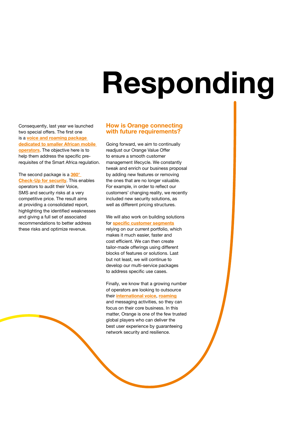# **Responding**

Consequently, last year we launched two special offers. The first one is a **voice and roaming package dedicated to smaller African mobile operators**. The objective here is to help them address the specific prerequisites of the Smart Africa regulation.

The second package is a **360° Check-Up for security**. This enables operators to audit their Voice, SMS and security risks at a very competitive price. The result aims at providing a consolidated report, highlighting the identified weaknesses and giving a full set of associated recommendations to better address these risks and optimize revenue.

#### **How is Orange connecting with future requirements?**

Going forward, we aim to continually readjust our Orange Value Offer to ensure a smooth customer management lifecycle. We constantly tweak and enrich our business proposal by adding new features or removing the ones that are no longer valuable. For example, in order to reflect our customers' changing reality, we recently included new security solutions, as well as different pricing structures.

We will also work on building solutions for **specific customer segments** relying on our current portfolio, which makes it much easier, faster and cost efficient. We can then create tailor-made offerings using different blocks of features or solutions. Last but not least, we will continue to develop our multi-service packages to address specific use cases.

Finally, we know that a growing number of operators are looking to outsource their **international voice**, **roaming** and messaging activities, so they can focus on their core business. In this matter, Orange is one of the few trusted global players who can deliver the best user experience by guaranteeing network security and resilience.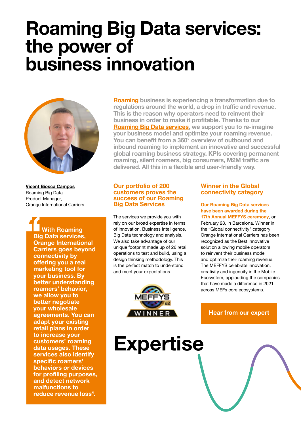### **Roaming Big Data services: the power of business innovation**



**Vicent Biosca Campos** Roaming Big Data Product Manager, Orange International Carriers

> **With Roaming Big Data services, Orange International Carriers goes beyond connectivity by offering you a real marketing tool for your business. By better understanding roamers' behavior, we allow you to better negotiate your wholesale agreements. You can adapt your existing retail plans in order to increase your customers' roaming data usages. These services also identify specific roamers' behaviors or devices for profiling purposes, and detect network malfunctions to reduce revenue loss".**

**Roaming business is experiencing a transformation due to**  regulations around the world, a drop in traffic and revenue. **This is the reason why operators need to reinvent their business in order to make it profitable. Thanks to our Roaming Big Data services, we support you to re-imagine your business model and optimize your roaming revenue.**  You can benefit from a 360° overview of outbound and **inbound roaming to implement an innovative and successful global roaming business strategy. KPIs covering permanent**  roaming, silent roamers, big consumers, M2M traffic are delivered. All this in a flexible and user-friendly way.

#### **Our portfolio of 200 customers proves the success of our Roaming Big Data Services**

The services we provide you with rely on our broad expertise in terms of innovation, Business Intelligence, Big Data technology and analysis. We also take advantage of our unique footprint made up of 26 retail operations to test and build, using a design thinking methodology. This is the perfect match to understand and meet your expectations.



#### **Winner in the Global connectivity category**

**Our Roaming Big Data services have been awarded during the 17th Annual MEFFYS ceremony**, on February 28, in Barcelona. Winner in the "Global connectivity" category, Orange International Carriers has been recognized as the Best innovative solution allowing mobile operators to reinvent their business model and optimize their roaming revenue. The MEFFYS celebrate innovation, creativity and ingenuity in the Mobile Ecosystem, applauding the companies that have made a difference in 2021 across MEFs core ecosystems.

#### **Hear from our expert**

**Expertise**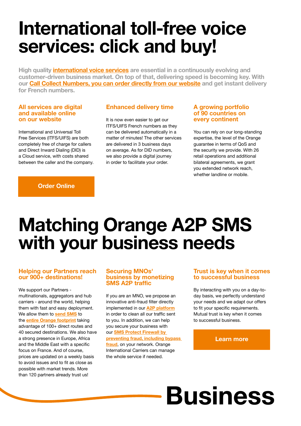## **International toll-free voice services: click and buy!**

**High quality international voice services are essential in a continuously evolving and customer-driven business market. On top of that, delivering speed is becoming key. With our Call Collect Numbers, you can order directly from our website and get instant delivery for French numbers.** 

#### **All services are digital and available online on our website**

International and Universal Toll Free Services (ITFS/UIFS) are both completely free of charge for callers and Direct Inward Dialing (DID) is a Cloud service, with costs shared between the caller and the company.

#### **Enhanced delivery time**

It is now even easier to get our ITFS/UIFS French numbers as they can be delivered automatically in a matter of minutes! The other services are delivered in 3 business days on average. As for DID numbers, we also provide a digital journey in order to facilitate your order.

#### **A growing portfolio of 90 countries on every continent**

You can rely on our long-standing expertise, the level of the Orange guarantee in terms of QoS and the security we provide. With 26 retail operations and additional bilateral agreements, we grant you extended network reach, whether landline or mobile.

#### **Order Online**

## **Matching Orange A2P SMS with your business needs**

#### **Helping our Partners reach our 900+ destinations!**

We support our Partners multinationals, aggregators and hub carriers - around the world, helping them with fast and easy deployment. We allow them to **send SMS** to the **entire Orange footprint** taking advantage of 100+ direct routes and 40 secured destinations. We also have a strong presence in Europe, Africa and the Middle East with a specific focus on France. And of course, prices are updated on a weekly basis to avoid issues and to fit as close as possible with market trends. More than 120 partners already trust us!

#### **Securing MNOs' business by monetizing SMS A2P traffic**

If you are an MNO, we propose an innovative anti-fraud filter directly implemented in our **A2P platform** in order to clean all our traffic sent to you. In addition, we can help you secure your business with our **SMS Protect Firewall by preventing fraud, including bypass fraud**, on your network. Orange International Carriers can manage the whole service if needed.

#### **Trust is key when it comes to successful business**

By interacting with you on a day-today basis, we perfectly understand your needs and we adapt our offers to fit your specific requirements. Mutual trust is key when it comes to successful business.

#### **Learn more**

## **Business**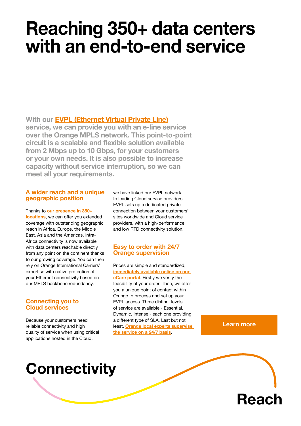### **Reaching 350+ data centers with an end-to-end service**

**With our EVPL (Ethernet Virtual Private Line) service, we can provide you with an e-line service over the Orange MPLS network. This point-to-point Example 2** Figure 1: Circuit is a scalable and flexible solution available **from 2 Mbps up to 10 Gbps, for your customers or your own needs. It is also possible to increase capacity without service interruption, so we can meet all your requirements.** 

#### **A wider reach and a unique geographic position**

Thanks to **our presence in 350+ locations**, we can offer you extended coverage with outstanding geographic reach in Africa, Europe, the Middle East, Asia and the Americas. Intra-Africa connectivity is now available with data centers reachable directly from any point on the continent thanks to our growing coverage. You can then rely on Orange International Carriers' expertise with native protection of your Ethernet connectivity based on our MPLS backbone redundancy.

#### **Connecting you to Cloud services**

Because your customers need reliable connectivity and high quality of service when using critical applications hosted in the Cloud,

we have linked our EVPL network to leading Cloud service providers. EVPL sets up a dedicated private connection between your customers' sites worldwide and Cloud service providers, with a high-performance and low RTD connectivity solution.

#### **Easy to order with 24/7 Orange supervision**

Prices are simple and standardized, **immediately available online on our eCare portal**. Firstly we verify the feasibility of your order. Then, we offer you a unique point of contact within Orange to process and set up your EVPL access. Three distinct levels of service are available - Essential, Dynamic, Intense - each one providing a different type of SLA. Last but not least, **Orange local experts supervise the service on a 24/7 basis**.

**Learn more**

### **Connectivity**

**Reach**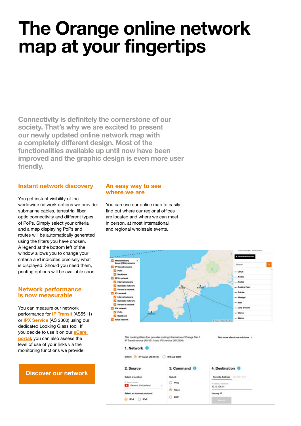## **The Orange online network map at your fingertips**

Connectivity is definitely the cornerstone of our **society. That's why we are excited to present our newly updated online network map with**  a completely different design. Most of the **functionalities available up until now have been improved and the graphic design is even more user friendly.** 

#### **Instant network discovery**

You get instant visibility of the worldwide network options we provide: submarine cables, terrestrial fiber optic connectivity and different types of PoPs. Simply select your criteria and a map displaying PoPs and routes will be automatically generated using the filters you have chosen. A legend at the bottom left of the window allows you to change your criteria and indicates precisely what is displayed. Should you need them, printing options will be available soon.

#### **Network performance is now measurable**

You can measure our network performance for **IP Transit** (AS5511) or **IPX Service** (AS 2300) using our dedicated Looking Glass tool. If you decide to use it on our **eCare portal**, you can also assess the level of use of your links via the monitoring functions we provide.

#### **Discover our network**

#### **An easy way to see where we are**

You can use our online map to easily find out where our regional offices are located and where we can meet in person, at most international and regional wholesale events.

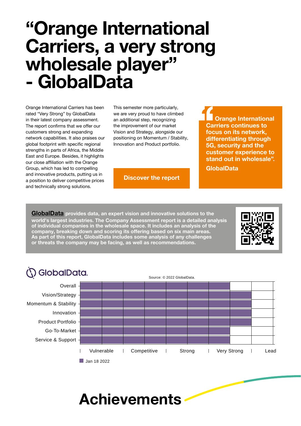### **"Orange International Carriers, a very strong wholesale player" - GlobalData**

Orange International Carriers has been rated "Very Strong" by GlobalData in their latest company assessment. The report confirms that we offer our customers strong and expanding network capabilities. It also praises our global footprint with specific regional strengths in parts of Africa, the Middle East and Europe. Besides, it highlights our close affiliation with the Orange Group, which has led to compelling and innovative products, putting us in a position to deliver competitive prices and technically strong solutions.

This semester more particularly, we are very proud to have climbed an additional step, recognizing the improvement of our market Vision and Strategy, alongside our positioning on Momentum / Stability, Innovation and Product portfolio.

**Discover the report**

**Orange International Carriers continues to focus on its network, differentiating through 5G, security and the customer experience to stand out in wholesale".** 

**GlobalData**

**GlobalData provides data, an expert vision and innovative solutions to the world's largest industries. The Company Assessment report is a detailed analysis of individual companies in the wholesale space. It includes an analysis of the company, breaking down and scoring its offering based on six main areas. As part of this report, GlobalData includes some analysis of any challenges or threats the company may be facing, as well as recommendations.** 



### **SolobalData.**

Overall Vision/Strategy Momentum & Stability Innovation Product Portfolio Go-To-Market Service & Support Vulnerable | Competitive | Strong | Very Strong | Lead Jan 18 2022

Source: © 2022 GlobalData.

### **Achievements**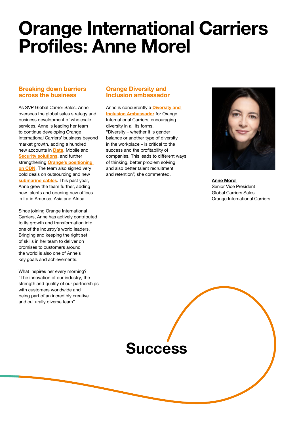### **Orange International Carriers Profiles: Anne Morel**

#### **Breaking down barriers across the business**

As SVP Global Carrier Sales, Anne oversees the global sales strategy and business development of wholesale services. Anne is leading her team to continue developing Orange International Carriers' business beyond market growth, adding a hundred new accounts in **Data**, Mobile and **Security solutions**, and further strengthening **Orange's positioning on CDN**. The team also signed very bold deals on outsourcing and new **submarine cables**. This past year, Anne grew the team further, adding new talents and opening new offices in Latin America, Asia and Africa.

Since joining Orange International Carriers, Anne has actively contributed to its growth and transformation into one of the industry's world leaders. Bringing and keeping the right set of skills in her team to deliver on promises to customers around the world is also one of Anne's key goals and achievements.

What inspires her every morning? "The innovation of our industry, the strength and quality of our partnerships with customers worldwide and being part of an incredibly creative and culturally diverse team".

#### **Orange Diversity and Inclusion ambassador**

Anne is concurrently a **Diversity and Inclusion Ambassador** for Orange International Carriers, encouraging diversity in all its forms. "Diversity – whether it is gender balance or another type of diversity in the workplace – is critical to the success and the profitability of companies. This leads to different ways of thinking, better problem solving and also better talent recruitment and retention", she commented.



**Anne Morel**  Senior Vice President Global Carriers Sales Orange International Carriers